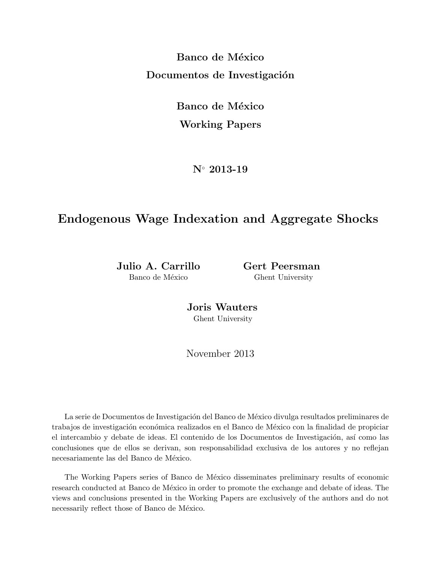**Banco de México Documentos de Investigación** 

> **Banco de México Working Papers**

> > **N***◦* **2013-19**

# **Endogenous Wage Indexation and Aggregate Shocks**

**Julio A. Carrillo Gert Peersman** Banco de México Ghent University

**Joris Wauters** Ghent University

November 2013

La serie de Documentos de Investigación del Banco de México divulga resultados preliminares de trabajos de investigación económica realizados en el Banco de México con la finalidad de propiciar el intercambio y debate de ideas. El contenido de los Documentos de Investigación, así como las conclusiones que de ellos se derivan, son responsabilidad exclusiva de los autores y no reflejan necesariamente las del Banco de México.

The Working Papers series of Banco de México disseminates preliminary results of economic research conducted at Banco de México in order to promote the exchange and debate of ideas. The views and conclusions presented in the Working Papers are exclusively of the authors and do not necessarily reflect those of Banco de México.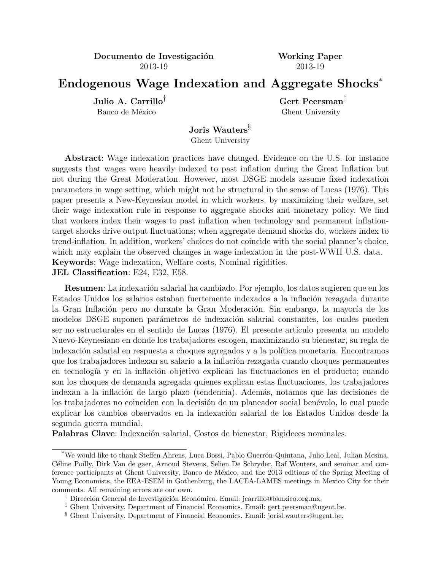**Documento de Investigación Working Paper** 2013-19 2013-19

# **Endogenous Wage Indexation and Aggregate Shocks**\*

Banco de México Ghent University

 $Julio A. Carrillo<sup>†</sup>$  **Gert Peersman**<sup>‡</sup>

**Joris Wauters***§* Ghent University

**Abstract**: Wage indexation practices have changed. Evidence on the U.S. for instance suggests that wages were heavily indexed to past inflation during the Great Inflation but not during the Great Moderation. However, most DSGE models assume fixed indexation parameters in wage setting, which might not be structural in the sense of Lucas (1976). This paper presents a New-Keynesian model in which workers, by maximizing their welfare, set their wage indexation rule in response to aggregate shocks and monetary policy. We find that workers index their wages to past inflation when technology and permanent inflationtarget shocks drive output fluctuations; when aggregate demand shocks do, workers index to trend-inflation. In addition, workers' choices do not coincide with the social planner's choice, which may explain the observed changes in wage indexation in the post-WWII U.S. data. **Keywords**: Wage indexation, Welfare costs, Nominal rigidities. **JEL Classification**: E24, E32, E58.

**Resumen**: La indexación salarial ha cambiado. Por ejemplo, los datos sugieren que en los Estados Unidos los salarios estaban fuertemente indexados a la inflación rezagada durante la Gran Inflación pero no durante la Gran Moderación. Sin embargo, la mayoría de los modelos DSGE suponen parámetros de indexación salarial constantes, los cuales pueden ser no estructurales en el sentido de Lucas (1976). El presente artículo presenta un modelo Nuevo-Keynesiano en donde los trabajadores escogen, maximizando su bienestar, su regla de indexación salarial en respuesta a choques agregados y a la política monetaria. Encontramos que los trabajadores indexan su salario a la inflación rezagada cuando choques permanentes en tecnología y en la inflación objetivo explican las fluctuaciones en el producto; cuando son los choques de demanda agregada quienes explican estas fluctuaciones, los trabajadores indexan a la inflación de largo plazo (tendencia). Además, notamos que las decisiones de los trabajadores no coinciden con la decisión de un planeador social benévolo, lo cual puede explicar los cambios observados en la indexación salarial de los Estados Unidos desde la segunda guerra mundial.

Palabras Clave: Indexación salarial, Costos de bienestar, Rigideces nominales.

<sup>\*</sup>We would like to thank Steffen Ahrens, Luca Bossi, Pablo Guerr´on-Quintana, Julio Leal, Julian Mesina, C´eline Poilly, Dirk Van de gaer, Arnoud Stevens, Selien De Schryder, Raf Wouters, and seminar and conference participants at Ghent University, Banco de México, and the 2013 editions of the Spring Meeting of Young Economists, the EEA-ESEM in Gothenburg, the LACEA-LAMES meetings in Mexico City for their comments. All remaining errors are our own.

<sup>&</sup>lt;sup>†</sup> Dirección General de Investigación Económica. Email: jcarrillo@banxico.org.mx.

*<sup>‡</sup>* Ghent University. Department of Financial Economics. Email: gert.peersman@ugent.be.

*<sup>§</sup>* Ghent University. Department of Financial Economics. Email: jorisl.wauters@ugent.be.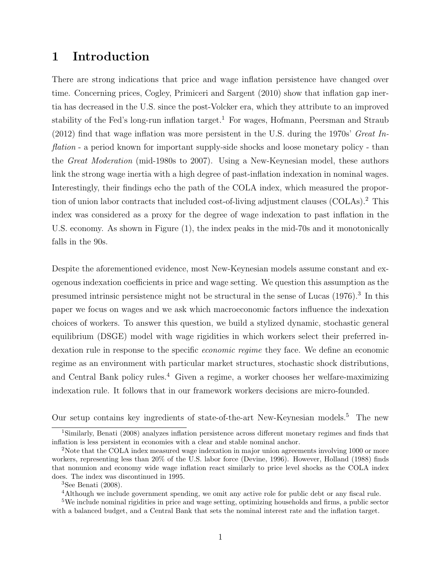# 1 Introduction

There are strong indications that price and wage inflation persistence have changed over time. Concerning prices, Cogley, Primiceri and Sargent (2010) show that inflation gap inertia has decreased in the U.S. since the post-Volcker era, which they attribute to an improved stability of the Fed's long-run inflation target.<sup>1</sup> For wages, Hofmann, Peersman and Straub (2012) find that wage inflation was more persistent in the U.S. during the 1970s' Great Inflation - a period known for important supply-side shocks and loose monetary policy - than the Great Moderation (mid-1980s to 2007). Using a New-Keynesian model, these authors link the strong wage inertia with a high degree of past-inflation indexation in nominal wages. Interestingly, their findings echo the path of the COLA index, which measured the proportion of union labor contracts that included cost-of-living adjustment clauses (COLAs).<sup>2</sup> This index was considered as a proxy for the degree of wage indexation to past inflation in the U.S. economy. As shown in Figure (1), the index peaks in the mid-70s and it monotonically falls in the 90s.

Despite the aforementioned evidence, most New-Keynesian models assume constant and exogenous indexation coefficients in price and wage setting. We question this assumption as the presumed intrinsic persistence might not be structural in the sense of Lucas (1976).<sup>3</sup> In this paper we focus on wages and we ask which macroeconomic factors influence the indexation choices of workers. To answer this question, we build a stylized dynamic, stochastic general equilibrium (DSGE) model with wage rigidities in which workers select their preferred indexation rule in response to the specific economic regime they face. We define an economic regime as an environment with particular market structures, stochastic shock distributions, and Central Bank policy rules.<sup>4</sup> Given a regime, a worker chooses her welfare-maximizing indexation rule. It follows that in our framework workers decisions are micro-founded.

Our setup contains key ingredients of state-of-the-art New-Keynesian models.<sup>5</sup> The new

<sup>4</sup>Although we include government spending, we omit any active role for public debt or any fiscal rule.

<sup>1</sup>Similarly, Benati (2008) analyzes inflation persistence across different monetary regimes and finds that inflation is less persistent in economies with a clear and stable nominal anchor.

<sup>&</sup>lt;sup>2</sup>Note that the COLA index measured wage indexation in major union agreements involving 1000 or more workers, representing less than 20% of the U.S. labor force (Devine, 1996). However, Holland (1988) finds that nonunion and economy wide wage inflation react similarly to price level shocks as the COLA index does. The index was discontinued in 1995.

 ${}^{3}$ See Benati (2008).

<sup>&</sup>lt;sup>5</sup>We include nominal rigidities in price and wage setting, optimizing households and firms, a public sector with a balanced budget, and a Central Bank that sets the nominal interest rate and the inflation target.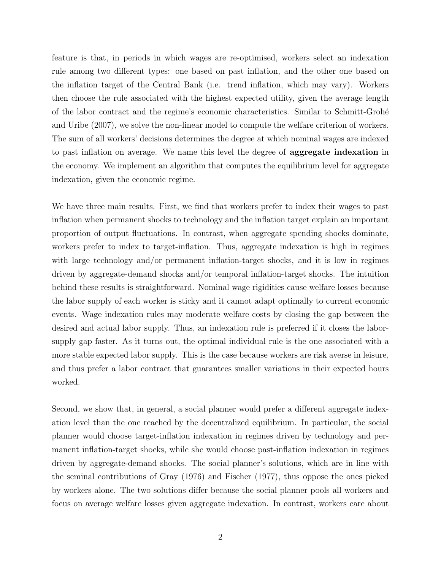feature is that, in periods in which wages are re-optimised, workers select an indexation rule among two different types: one based on past inflation, and the other one based on the inflation target of the Central Bank (i.e. trend inflation, which may vary). Workers then choose the rule associated with the highest expected utility, given the average length of the labor contract and the regime's economic characteristics. Similar to Schmitt-Groh´e and Uribe (2007), we solve the non-linear model to compute the welfare criterion of workers. The sum of all workers' decisions determines the degree at which nominal wages are indexed to past inflation on average. We name this level the degree of aggregate indexation in the economy. We implement an algorithm that computes the equilibrium level for aggregate indexation, given the economic regime.

We have three main results. First, we find that workers prefer to index their wages to past inflation when permanent shocks to technology and the inflation target explain an important proportion of output fluctuations. In contrast, when aggregate spending shocks dominate, workers prefer to index to target-inflation. Thus, aggregate indexation is high in regimes with large technology and/or permanent inflation-target shocks, and it is low in regimes driven by aggregate-demand shocks and/or temporal inflation-target shocks. The intuition behind these results is straightforward. Nominal wage rigidities cause welfare losses because the labor supply of each worker is sticky and it cannot adapt optimally to current economic events. Wage indexation rules may moderate welfare costs by closing the gap between the desired and actual labor supply. Thus, an indexation rule is preferred if it closes the laborsupply gap faster. As it turns out, the optimal individual rule is the one associated with a more stable expected labor supply. This is the case because workers are risk averse in leisure, and thus prefer a labor contract that guarantees smaller variations in their expected hours worked.

Second, we show that, in general, a social planner would prefer a different aggregate indexation level than the one reached by the decentralized equilibrium. In particular, the social planner would choose target-inflation indexation in regimes driven by technology and permanent inflation-target shocks, while she would choose past-inflation indexation in regimes driven by aggregate-demand shocks. The social planner's solutions, which are in line with the seminal contributions of Gray (1976) and Fischer (1977), thus oppose the ones picked by workers alone. The two solutions differ because the social planner pools all workers and focus on average welfare losses given aggregate indexation. In contrast, workers care about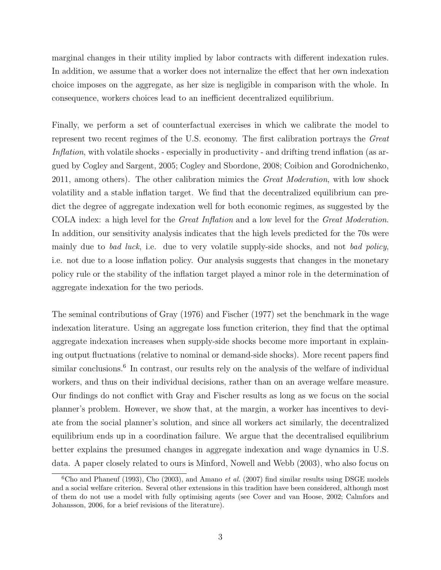marginal changes in their utility implied by labor contracts with different indexation rules. In addition, we assume that a worker does not internalize the effect that her own indexation choice imposes on the aggregate, as her size is negligible in comparison with the whole. In consequence, workers choices lead to an inefficient decentralized equilibrium.

Finally, we perform a set of counterfactual exercises in which we calibrate the model to represent two recent regimes of the U.S. economy. The first calibration portrays the Great Inflation, with volatile shocks - especially in productivity - and drifting trend inflation (as argued by Cogley and Sargent, 2005; Cogley and Sbordone, 2008; Coibion and Gorodnichenko, 2011, among others). The other calibration mimics the Great Moderation, with low shock volatility and a stable inflation target. We find that the decentralized equilibrium can predict the degree of aggregate indexation well for both economic regimes, as suggested by the COLA index: a high level for the Great Inflation and a low level for the Great Moderation. In addition, our sensitivity analysis indicates that the high levels predicted for the 70s were mainly due to *bad luck*, i.e. due to very volatile supply-side shocks, and not *bad policy*, i.e. not due to a loose inflation policy. Our analysis suggests that changes in the monetary policy rule or the stability of the inflation target played a minor role in the determination of aggregate indexation for the two periods.

The seminal contributions of Gray (1976) and Fischer (1977) set the benchmark in the wage indexation literature. Using an aggregate loss function criterion, they find that the optimal aggregate indexation increases when supply-side shocks become more important in explaining output fluctuations (relative to nominal or demand-side shocks). More recent papers find similar conclusions.<sup>6</sup> In contrast, our results rely on the analysis of the welfare of individual workers, and thus on their individual decisions, rather than on an average welfare measure. Our findings do not conflict with Gray and Fischer results as long as we focus on the social planner's problem. However, we show that, at the margin, a worker has incentives to deviate from the social planner's solution, and since all workers act similarly, the decentralized equilibrium ends up in a coordination failure. We argue that the decentralised equilibrium better explains the presumed changes in aggregate indexation and wage dynamics in U.S. data. A paper closely related to ours is Minford, Nowell and Webb (2003), who also focus on

 $6C$ ho and Phaneuf (1993), Cho (2003), and Amano *et al.* (2007) find similar results using DSGE models and a social welfare criterion. Several other extensions in this tradition have been considered, although most of them do not use a model with fully optimising agents (see Cover and van Hoose, 2002; Calmfors and Johansson, 2006, for a brief revisions of the literature).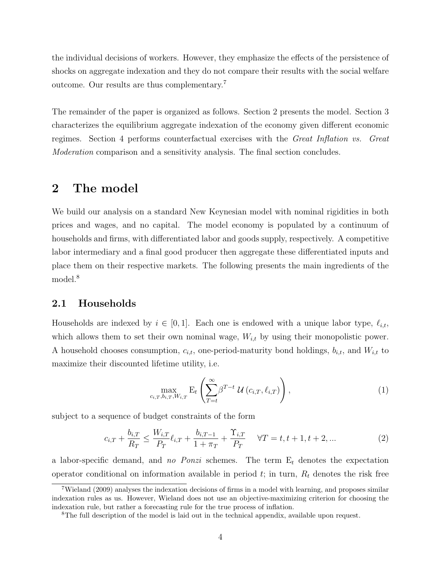the individual decisions of workers. However, they emphasize the effects of the persistence of shocks on aggregate indexation and they do not compare their results with the social welfare outcome. Our results are thus complementary.<sup>7</sup>

The remainder of the paper is organized as follows. Section 2 presents the model. Section 3 characterizes the equilibrium aggregate indexation of the economy given different economic regimes. Section 4 performs counterfactual exercises with the Great Inflation vs. Great Moderation comparison and a sensitivity analysis. The final section concludes.

# 2 The model

We build our analysis on a standard New Keynesian model with nominal rigidities in both prices and wages, and no capital. The model economy is populated by a continuum of households and firms, with differentiated labor and goods supply, respectively. A competitive labor intermediary and a final good producer then aggregate these differentiated inputs and place them on their respective markets. The following presents the main ingredients of the model.<sup>8</sup>

### 2.1 Households

Households are indexed by  $i \in [0, 1]$ . Each one is endowed with a unique labor type,  $\ell_{i,t}$ , which allows them to set their own nominal wage,  $W_{i,t}$  by using their monopolistic power. A household chooses consumption,  $c_{i,t}$ , one-period-maturity bond holdings,  $b_{i,t}$ , and  $W_{i,t}$  to maximize their discounted lifetime utility, i.e.

$$
\max_{c_{i,T},b_{i,T},W_{i,T}} \mathbf{E}_t\left(\sum_{T=t}^{\infty} \beta^{T-t} \mathcal{U}\left(c_{i,T}, \ell_{i,T}\right)\right),\tag{1}
$$

subject to a sequence of budget constraints of the form

$$
c_{i,T} + \frac{b_{i,T}}{R_T} \le \frac{W_{i,T}}{P_T} \ell_{i,T} + \frac{b_{i,T-1}}{1 + \pi_T} + \frac{\Upsilon_{i,T}}{P_T} \quad \forall T = t, t+1, t+2, ... \tag{2}
$$

a labor-specific demand, and no Ponzi schemes. The term  $E_t$  denotes the expectation operator conditional on information available in period  $t$ ; in turn,  $R_t$  denotes the risk free

<sup>7</sup>Wieland (2009) analyses the indexation decisions of firms in a model with learning, and proposes similar indexation rules as us. However, Wieland does not use an objective-maximizing criterion for choosing the indexation rule, but rather a forecasting rule for the true process of inflation.

<sup>&</sup>lt;sup>8</sup>The full description of the model is laid out in the technical appendix, available upon request.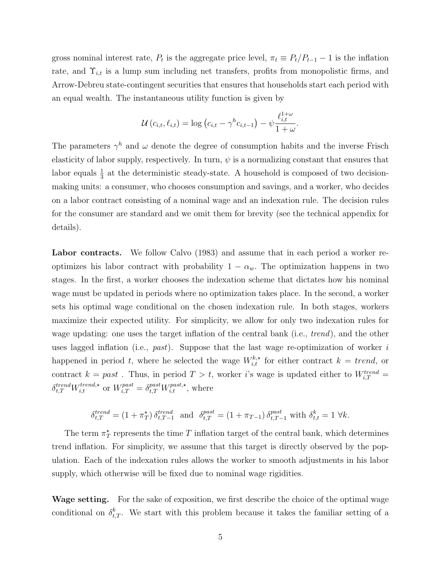gross nominal interest rate,  $P_t$  is the aggregate price level,  $\pi_t \equiv P_t/P_{t-1} - 1$  is the inflation rate, and  $\Upsilon_{i,t}$  is a lump sum including net transfers, profits from monopolistic firms, and Arrow-Debreu state-contingent securities that ensures that households start each period with an equal wealth. The instantaneous utility function is given by

$$
\mathcal{U}\left(c_{i,t}, \ell_{i,t}\right) = \log\left(c_{i,t} - \gamma^h c_{i,t-1}\right) - \psi \frac{\ell_{i,t}^{1+\omega}}{1+\omega}.
$$

The parameters  $\gamma^h$  and  $\omega$  denote the degree of consumption habits and the inverse Frisch elasticity of labor supply, respectively. In turn,  $\psi$  is a normalizing constant that ensures that labor equals  $\frac{1}{3}$  at the deterministic steady-state. A household is composed of two decisionmaking units: a consumer, who chooses consumption and savings, and a worker, who decides on a labor contract consisting of a nominal wage and an indexation rule. The decision rules for the consumer are standard and we omit them for brevity (see the technical appendix for details).

Labor contracts. We follow Calvo (1983) and assume that in each period a worker reoptimizes his labor contract with probability  $1 - \alpha_w$ . The optimization happens in two stages. In the first, a worker chooses the indexation scheme that dictates how his nominal wage must be updated in periods where no optimization takes place. In the second, a worker sets his optimal wage conditional on the chosen indexation rule. In both stages, workers maximize their expected utility. For simplicity, we allow for only two indexation rules for wage updating: one uses the target inflation of the central bank (i.e., *trend*), and the other uses lagged inflation (i.e.,  $past)$ ). Suppose that the last wage re-optimization of worker i happened in period t, where he selected the wage  $W_{i,t}^{k,*}$  for either contract  $k = trend$ , or contract  $k = past$ . Thus, in period  $T > t$ , worker i's wage is updated either to  $W_{i,T}^{trend} =$  $\delta_{t,T}^{trend} W_{i,t}^{trend,\star}$  or  $W_{i,T}^{past} = \delta_{t,T}^{past} W_{i,t}^{past,\star}$ , where

$$
\delta_{t,T}^{trend} = (1 + \pi_T^{\star}) \, \delta_{t,T-1}^{trend} \quad \text{and} \quad \delta_{t,T}^{past} = (1 + \pi_{T-1}) \, \delta_{t,T-1}^{past} \text{ with } \delta_{t,t}^{k} = 1 \, \forall k.
$$

The term  $\pi_T^*$  represents the time T inflation target of the central bank, which determines trend inflation. For simplicity, we assume that this target is directly observed by the population. Each of the indexation rules allows the worker to smooth adjustments in his labor supply, which otherwise will be fixed due to nominal wage rigidities.

Wage setting. For the sake of exposition, we first describe the choice of the optimal wage conditional on  $\delta_{t,T}^k$ . We start with this problem because it takes the familiar setting of a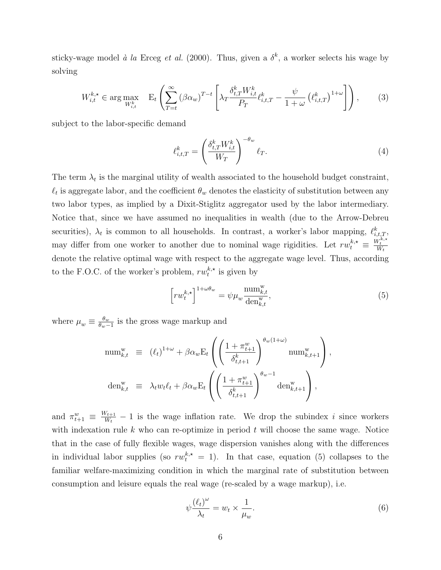sticky-wage model à la Erceg et al. (2000). Thus, given a  $\delta^k$ , a worker selects his wage by solving

$$
W_{i,t}^{k,\star} \in \arg\max_{W_{i,t}^k} \quad \mathcal{E}_t \left( \sum_{T=t}^{\infty} (\beta \alpha_w)^{T-t} \left[ \lambda_T \frac{\delta_{t,T}^k W_{i,t}^k}{P_T} \ell_{i,t,T}^k - \frac{\psi}{1+\omega} \left( \ell_{i,t,T}^k \right)^{1+\omega} \right] \right), \tag{3}
$$

subject to the labor-specific demand

$$
\ell_{i,t,T}^k = \left(\frac{\delta_{t,T}^k W_{i,t}^k}{W_T}\right)^{-\theta_w} \ell_T.
$$
\n(4)

The term  $\lambda_t$  is the marginal utility of wealth associated to the household budget constraint,  $\ell_t$  is aggregate labor, and the coefficient  $\theta_w$  denotes the elasticity of substitution between any two labor types, as implied by a Dixit-Stiglitz aggregator used by the labor intermediary. Notice that, since we have assumed no inequalities in wealth (due to the Arrow-Debreu securities),  $\lambda_t$  is common to all households. In contrast, a worker's labor mapping,  $\ell_{i,t,T}^k$ , may differ from one worker to another due to nominal wage rigidities. Let  $rw_t^{k,*} \equiv$  $\frac{W_t^{k,\star}}{W_t}$ denote the relative optimal wage with respect to the aggregate wage level. Thus, according to the F.O.C. of the worker's problem,  $rw_t^{k,*}$  $t^{k,*}$  is given by

$$
\left[rw_t^{k,\star}\right]^{1+\omega\theta_w} = \psi\mu_w \frac{\operatorname{num}_{k,t}^w}{\operatorname{den}_{k,t}^w},\tag{5}
$$

where  $\mu_w \equiv \frac{\theta_w}{\theta_w - \theta_w}$  $\frac{\theta_w}{\theta_w-1}$  is the gross wage markup and

$$
\begin{array}{rcl}\n\text{num}_{k,t}^{\text{w}} & \equiv & (\ell_t)^{1+\omega} + \beta \alpha_w \mathbf{E}_t \left( \left( \frac{1 + \pi_{t+1}^w}{\delta_{t,t+1}^k} \right)^{\theta_w(1+\omega)} \text{num}_{k,t+1}^{\text{w}} \right), \\
\text{den}_{k,t}^{\text{w}} & \equiv & \lambda_t w_t \ell_t + \beta \alpha_w \mathbf{E}_t \left( \left( \frac{1 + \pi_{t+1}^w}{\delta_{t,t+1}^k} \right)^{\theta_w - 1} \text{den}_{k,t+1}^{\text{w}} \right),\n\end{array}
$$

and  $\pi_{t+1}^w \equiv \frac{W_{t+1}}{W_t}$  $\frac{W_{t+1}}{W_t} - 1$  is the wage inflation rate. We drop the subindex i since workers with indexation rule k who can re-optimize in period  $t$  will choose the same wage. Notice that in the case of fully flexible wages, wage dispersion vanishes along with the differences in individual labor supplies (so  $rw_t^{k,*} = 1$ ). In that case, equation (5) collapses to the familiar welfare-maximizing condition in which the marginal rate of substitution between consumption and leisure equals the real wage (re-scaled by a wage markup), i.e.

$$
\psi \frac{\left(\ell_t\right)^{\omega}}{\lambda_t} = w_t \times \frac{1}{\mu_w}.\tag{6}
$$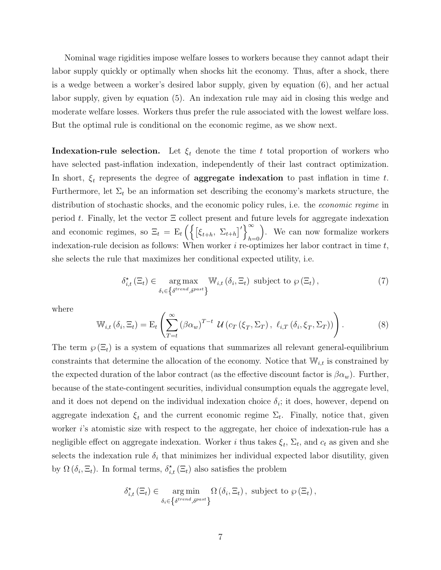Nominal wage rigidities impose welfare losses to workers because they cannot adapt their labor supply quickly or optimally when shocks hit the economy. Thus, after a shock, there is a wedge between a worker's desired labor supply, given by equation (6), and her actual labor supply, given by equation (5). An indexation rule may aid in closing this wedge and moderate welfare losses. Workers thus prefer the rule associated with the lowest welfare loss. But the optimal rule is conditional on the economic regime, as we show next.

**Indexation-rule selection.** Let  $\xi_t$  denote the time t total proportion of workers who have selected past-inflation indexation, independently of their last contract optimization. In short,  $\xi_t$  represents the degree of **aggregate indexation** to past inflation in time t. Furthermore, let  $\Sigma_t$  be an information set describing the economy's markets structure, the distribution of stochastic shocks, and the economic policy rules, i.e. the economic regime in period t. Finally, let the vector  $\Xi$  collect present and future levels for aggregate indexation and economic regimes, so  $\Xi_t = \mathbb{E}_t \left( \left\{ \left[ \xi_{t+h}, \ \Sigma_{t+h} \right]' \right\} \right)$  $h=0$  . We can now formalize workers indexation-rule decision as follows: When worker  $i$  re-optimizes her labor contract in time  $t$ , she selects the rule that maximizes her conditional expected utility, i.e.

$$
\delta_{i,t}^{\star}(\Xi_t) \in \underset{\delta_i \in \left\{\delta^{trend}, \delta^{past}\right\}}{\arg \max} \mathbb{W}_{i,t} \left(\delta_i, \Xi_t\right) \text{ subject to } \wp\left(\Xi_t\right), \tag{7}
$$

where

$$
\mathbb{W}_{i,t} \left( \delta_i, \Xi_t \right) = \mathcal{E}_t \left( \sum_{T=t}^{\infty} \left( \beta \alpha_w \right)^{T-t} \mathcal{U} \left( c_T \left( \xi_T, \Sigma_T \right), \ell_{i,T} \left( \delta_i, \xi_T, \Sigma_T \right) \right) \right). \tag{8}
$$

The term  $\varphi(\Xi_t)$  is a system of equations that summarizes all relevant general-equilibrium constraints that determine the allocation of the economy. Notice that  $\mathbb{W}_{i,t}$  is constrained by the expected duration of the labor contract (as the effective discount factor is  $\beta \alpha_w$ ). Further, because of the state-contingent securities, individual consumption equals the aggregate level, and it does not depend on the individual indexation choice  $\delta_i$ ; it does, however, depend on aggregate indexation  $\xi_t$  and the current economic regime  $\Sigma_t$ . Finally, notice that, given worker i's atomistic size with respect to the aggregate, her choice of indexation-rule has a negligible effect on aggregate indexation. Worker *i* thus takes  $\xi_t$ ,  $\Sigma_t$ , and  $c_t$  as given and she selects the indexation rule  $\delta_i$  that minimizes her individual expected labor disutility, given by  $\Omega(\delta_i, \Xi_t)$ . In formal terms,  $\delta_{i,t}^{\star}(\Xi_t)$  also satisfies the problem

$$
\delta_{i,t}^{\star}(\Xi_t) \in \underset{\delta_i \in \left\{\delta^{trend}, \delta^{past}\right\}}{\arg \min} \Omega\left(\delta_i, \Xi_t\right), \text{ subject to } \wp\left(\Xi_t\right),
$$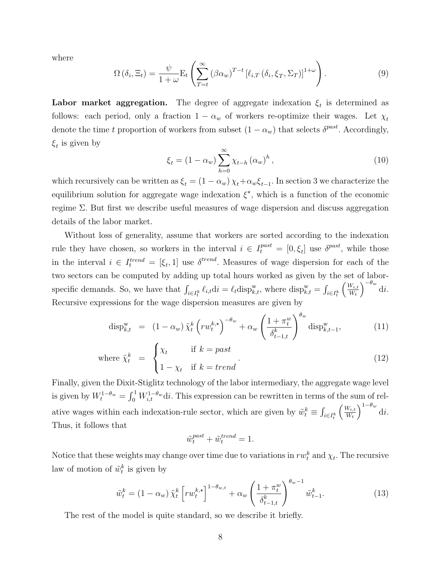where

$$
\Omega\left(\delta_{i},\Xi_{t}\right) = \frac{\psi}{1+\omega} \mathcal{E}_{t}\left(\sum_{T=t}^{\infty} \left(\beta \alpha_{w}\right)^{T-t} \left[\ell_{i,T}\left(\delta_{i}, \xi_{T}, \Sigma_{T}\right)\right]^{1+\omega}\right). \tag{9}
$$

Labor market aggregation. The degree of aggregate indexation  $\xi_t$  is determined as follows: each period, only a fraction  $1 - \alpha_w$  of workers re-optimize their wages. Let  $\chi_t$ denote the time t proportion of workers from subset  $(1 - \alpha_w)$  that selects  $\delta^{past}$ . Accordingly,  $\xi_t$  is given by

$$
\xi_{t} = (1 - \alpha_{w}) \sum_{h=0}^{\infty} \chi_{t-h} (\alpha_{w})^{h}, \qquad (10)
$$

which recursively can be written as  $\xi_t = (1 - \alpha_w) \chi_t + \alpha_w \xi_{t-1}$ . In section 3 we characterize the equilibrium solution for aggregate wage indexation  $\xi^*$ , which is a function of the economic regime Σ. But first we describe useful measures of wage dispersion and discuss aggregation details of the labor market.

Without loss of generality, assume that workers are sorted according to the indexation rule they have chosen, so workers in the interval  $i \in I_t^{past} = [0, \xi_t]$  use  $\delta^{past}$ , while those in the interval  $i \in I_t^{trend} = [\xi_t, 1]$  use  $\delta^{trend}$ . Measures of wage dispersion for each of the two sectors can be computed by adding up total hours worked as given by the set of laborspecific demands. So, we have that  $\int_{i \in I_t^k} \ell_{i,t} dt = \ell_t \text{disp}_{k,t}^w$ , where  $\text{disp}_{k,t}^w = \int_{i \in I_t^k}$  $\int \underline{W_{i,t}}$  $W_t$  $\int$ <sup>-θw</sup> di. Recursive expressions for the wage dispersion measures are given by

$$
\operatorname{disp}_{k,t}^{\mathrm{w}} = (1 - \alpha_w) \tilde{\chi}_t^k \left( r w_t^{k,\star} \right)^{-\theta_w} + \alpha_w \left( \frac{1 + \pi_t^w}{\delta_{t-1,t}^k} \right)^{\theta_w} \operatorname{disp}_{k,t-1}^{\mathrm{w}},\tag{11}
$$

where 
$$
\tilde{\chi}_t^k = \begin{cases} \chi_t & \text{if } k = past \\ 1 - \chi_t & \text{if } k = trend \end{cases}
$$
. (12)

Finally, given the Dixit-Stiglitz technology of the labor intermediary, the aggregate wage level is given by  $W_t^{1-\theta_w} = \int_0^1 W_{i,t}^{1-\theta_w} \mathrm{d}i$ . This expression can be rewritten in terms of the sum of relative wages within each indexation-rule sector, which are given by  $\tilde{w}_t^k \equiv \int_{i \in I_t^k}$  $\int W_{i,t}$  $W_t$  $\int^{1-\theta_w} \mathrm{d}i.$ Thus, it follows that

$$
\tilde{w}^{past}_t + \tilde{w}^{trend}_t = 1.
$$

Notice that these weights may change over time due to variations in  $rw_t^k$  and  $\chi_t$ . The recursive law of motion of  $\tilde{w}_t^k$  is given by

$$
\tilde{w}_t^k = \left(1 - \alpha_w\right) \tilde{\chi}_t^k \left[ rw_t^{k,\star}\right]^{1-\theta_{w,t}} + \alpha_w \left(\frac{1+\pi_v^w}{\delta_{t-1,t}^k}\right)^{\theta_w - 1} \tilde{w}_{t-1}^k. \tag{13}
$$

The rest of the model is quite standard, so we describe it briefly.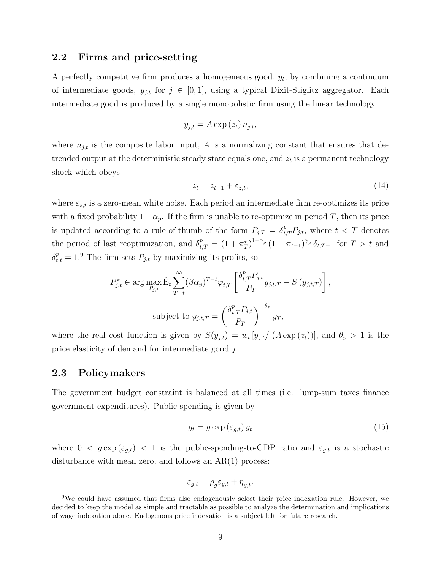## 2.2 Firms and price-setting

A perfectly competitive firm produces a homogeneous good,  $y_t$ , by combining a continuum of intermediate goods,  $y_{j,t}$  for  $j \in [0,1]$ , using a typical Dixit-Stiglitz aggregator. Each intermediate good is produced by a single monopolistic firm using the linear technology

$$
y_{j,t} = A \exp\left(z_t\right) n_{j,t},
$$

where  $n_{j,t}$  is the composite labor input, A is a normalizing constant that ensures that detrended output at the deterministic steady state equals one, and  $z_t$  is a permanent technology shock which obeys

$$
z_t = z_{t-1} + \varepsilon_{z,t},\tag{14}
$$

where  $\varepsilon_{z,t}$  is a zero-mean white noise. Each period an intermediate firm re-optimizes its price with a fixed probability  $1-\alpha_p$ . If the firm is unable to re-optimize in period T, then its price is updated according to a rule-of-thumb of the form  $P_{j,T} = \delta_{t,T}^p P_{j,t}$ , where  $t < T$  denotes the period of last reoptimization, and  $\delta_{t,T}^p = (1 + \pi_T^*)^{1-\gamma_p} (1 + \pi_{t-1})^{\gamma_p} \delta_{t,T-1}$  for  $T > t$  and  $\delta_{t,t}^p = 1.9$  The firm sets  $P_{j,t}$  by maximizing its profits, so

$$
P_{j,t}^{\star} \in \arg \max_{P_{j,t}} \hat{E}_t \sum_{T=t}^{\infty} (\beta \alpha_p)^{T-t} \varphi_{t,T} \left[ \frac{\delta_{t,T}^p P_{j,t}}{P_T} y_{j,t,T} - S(y_{j,t,T}) \right],
$$
  
subject to  $y_{j,t,T} = \left( \frac{\delta_{t,T}^p P_{j,t}}{P_T} \right)^{-\theta_p} y_T,$ 

where the real cost function is given by  $S(y_{j,t}) = w_t [y_{j,t}/(A \exp(z_t))]$ , and  $\theta_p > 1$  is the price elasticity of demand for intermediate good j.

## 2.3 Policymakers

The government budget constraint is balanced at all times (i.e. lump-sum taxes finance government expenditures). Public spending is given by

$$
g_t = g \exp\left(\varepsilon_{g,t}\right) y_t \tag{15}
$$

where  $0 < g \exp(\varepsilon_{g,t}) < 1$  is the public-spending-to-GDP ratio and  $\varepsilon_{g,t}$  is a stochastic disturbance with mean zero, and follows an AR(1) process:

$$
\varepsilon_{g,t} = \rho_g \varepsilon_{g,t} + \eta_{g,t}.
$$

<sup>&</sup>lt;sup>9</sup>We could have assumed that firms also endogenously select their price indexation rule. However, we decided to keep the model as simple and tractable as possible to analyze the determination and implications of wage indexation alone. Endogenous price indexation is a subject left for future research.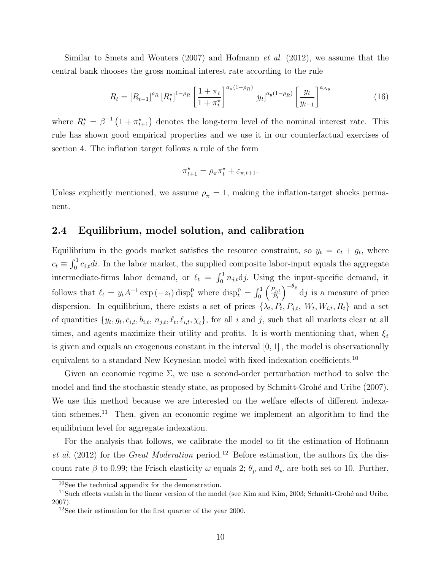Similar to Smets and Wouters  $(2007)$  and Hofmann *et al.*  $(2012)$ , we assume that the central bank chooses the gross nominal interest rate according to the rule

$$
R_t = [R_{t-1}]^{\rho_R} [R_t^{\star}]^{1-\rho_R} \left[ \frac{1+\pi_t}{1+\pi_t^{\star}} \right]^{a_{\pi}(1-\rho_R)} [y_t]^{a_y(1-\rho_R)} \left[ \frac{y_t}{y_{t-1}} \right]^{a_{\Delta y}}
$$
(16)

where  $R_t^* = \beta^{-1} \left(1 + \pi_{t+1}^* \right)$  denotes the long-term level of the nominal interest rate. This rule has shown good empirical properties and we use it in our counterfactual exercises of section 4. The inflation target follows a rule of the form

$$
\pi_{t+1}^* = \rho_\pi \pi_t^* + \varepsilon_{\pi, t+1}.
$$

Unless explicitly mentioned, we assume  $\rho_{\pi} = 1$ , making the inflation-target shocks permanent.

## 2.4 Equilibrium, model solution, and calibration

Equilibrium in the goods market satisfies the resource constraint, so  $y_t = c_t + g_t$ , where  $c_t \equiv \int_0^1 c_{i,t} dt$ . In the labor market, the supplied composite labor-input equals the aggregate intermediate-firms labor demand, or  $\ell_t = \int_0^1 n_{j,t} \, dy$ . Using the input-specific demand, it follows that  $\ell_t = y_t A^{-1} \exp(-z_t) \operatorname{disp}_t^p$  where  $\operatorname{disp}_t^p = \int_0^1 \left( \frac{P_{j,t}}{P_t} \right)$  $P_t$  $\int_{0}^{-\theta_p} d j$  is a measure of price dispersion. In equilibrium, there exists a set of prices  $\{\lambda_t, P_t, P_{j,t}, W_t, W_{i,t}, R_t\}$  and a set of quantities  $\{y_t, g_t, c_{i,t}, b_{i,t}, n_{j,t}, \ell_t, \ell_{i,t}, \chi_t\}$ , for all i and j, such that all markets clear at all times, and agents maximize their utility and profits. It is worth mentioning that, when  $\xi_t$ is given and equals an exogenous constant in the interval  $[0, 1]$ , the model is observationally equivalent to a standard New Keynesian model with fixed indexation coefficients.<sup>10</sup>

Given an economic regime  $\Sigma$ , we use a second-order perturbation method to solve the model and find the stochastic steady state, as proposed by Schmitt-Grohé and Uribe (2007). We use this method because we are interested on the welfare effects of different indexation schemes.<sup>11</sup> Then, given an economic regime we implement an algorithm to find the equilibrium level for aggregate indexation.

For the analysis that follows, we calibrate the model to fit the estimation of Hofmann et al.  $(2012)$  for the *Great Moderation* period.<sup>12</sup> Before estimation, the authors fix the discount rate  $\beta$  to 0.99; the Frisch elasticity  $\omega$  equals 2;  $\theta_p$  and  $\theta_w$  are both set to 10. Further,

<sup>10</sup>See the technical appendix for the demonstration.

<sup>&</sup>lt;sup>11</sup>Such effects vanish in the linear version of the model (see Kim and Kim,  $2003$ ; Schmitt-Grohé and Uribe, 2007).

<sup>&</sup>lt;sup>12</sup>See their estimation for the first quarter of the year 2000.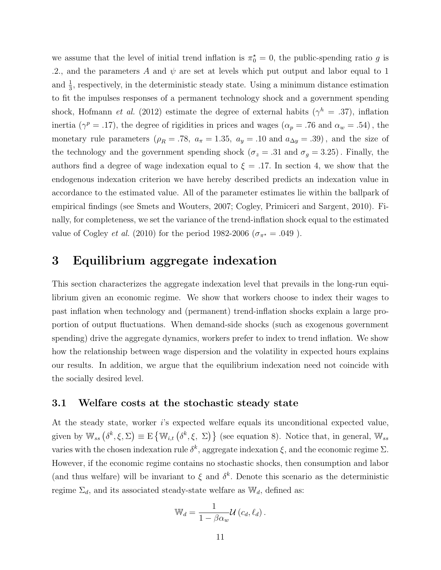we assume that the level of initial trend inflation is  $\pi_0^* = 0$ , the public-spending ratio g is .2., and the parameters A and  $\psi$  are set at levels which put output and labor equal to 1 and  $\frac{1}{3}$ , respectively, in the deterministic steady state. Using a minimum distance estimation to fit the impulses responses of a permanent technology shock and a government spending shock, Hofmann *et al.* (2012) estimate the degree of external habits ( $\gamma^h = .37$ ), inflation inertia ( $\gamma^p = .17$ ), the degree of rigidities in prices and wages ( $\alpha_p = .76$  and  $\alpha_w = .54$ ), the monetary rule parameters ( $\rho_R = .78$ ,  $a_\pi = 1.35$ ,  $a_y = .10$  and  $a_{\Delta y} = .39$ ), and the size of the technology and the government spending shock ( $\sigma_z = .31$  and  $\sigma_g = 3.25$ ). Finally, the authors find a degree of wage indexation equal to  $\xi = .17$ . In section 4, we show that the endogenous indexation criterion we have hereby described predicts an indexation value in accordance to the estimated value. All of the parameter estimates lie within the ballpark of empirical findings (see Smets and Wouters, 2007; Cogley, Primiceri and Sargent, 2010). Finally, for completeness, we set the variance of the trend-inflation shock equal to the estimated value of Cogley *et al.* (2010) for the period 1982-2006 ( $\sigma_{\pi^*} = .049$ ).

# 3 Equilibrium aggregate indexation

This section characterizes the aggregate indexation level that prevails in the long-run equilibrium given an economic regime. We show that workers choose to index their wages to past inflation when technology and (permanent) trend-inflation shocks explain a large proportion of output fluctuations. When demand-side shocks (such as exogenous government spending) drive the aggregate dynamics, workers prefer to index to trend inflation. We show how the relationship between wage dispersion and the volatility in expected hours explains our results. In addition, we argue that the equilibrium indexation need not coincide with the socially desired level.

## 3.1 Welfare costs at the stochastic steady state

At the steady state, worker i's expected welfare equals its unconditional expected value, given by  $\mathbb{W}_{ss}(\delta^k, \xi, \Sigma) \equiv E \{ \mathbb{W}_{i,t} (\delta^k, \xi, \Sigma) \}$  (see equation 8). Notice that, in general,  $\mathbb{W}_{ss}$ varies with the chosen indexation rule  $\delta^k$ , aggregate indexation  $\xi$ , and the economic regime  $\Sigma$ . However, if the economic regime contains no stochastic shocks, then consumption and labor (and thus welfare) will be invariant to  $\xi$  and  $\delta^k$ . Denote this scenario as the deterministic regime  $\Sigma_d$ , and its associated steady-state welfare as  $\mathbb{W}_d$ , defined as:

$$
\mathbb{W}_d = \frac{1}{1 - \beta \alpha_w} \mathcal{U}(c_d, \ell_d).
$$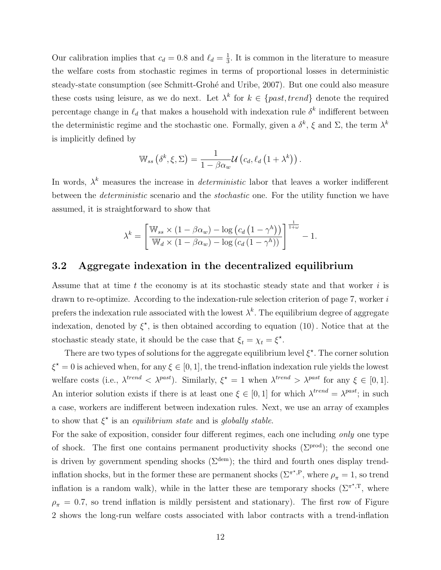Our calibration implies that  $c_d = 0.8$  and  $\ell_d = \frac{1}{3}$  $\frac{1}{3}$ . It is common in the literature to measure the welfare costs from stochastic regimes in terms of proportional losses in deterministic steady-state consumption (see Schmitt-Grohé and Uribe, 2007). But one could also measure these costs using leisure, as we do next. Let  $\lambda^k$  for  $k \in \{past, trend\}$  denote the required percentage change in  $\ell_d$  that makes a household with indexation rule  $\delta^k$  indifferent between the deterministic regime and the stochastic one. Formally, given a  $\delta^k$ ,  $\xi$  and  $\Sigma$ , the term  $\lambda^k$ is implicitly defined by

$$
\mathbb{W}_{ss}\left(\delta^k,\xi,\Sigma\right)=\frac{1}{1-\beta\alpha_w}\mathcal{U}\left(c_d,\ell_d\left(1+\lambda^k\right)\right).
$$

In words,  $\lambda^k$  measures the increase in *deterministic* labor that leaves a worker indifferent between the deterministic scenario and the stochastic one. For the utility function we have assumed, it is straightforward to show that

$$
\lambda^{k} = \left[ \frac{\mathbb{W}_{ss} \times (1 - \beta \alpha_w) - \log (c_d (1 - \gamma^h))}{\mathbb{W}_d \times (1 - \beta \alpha_w) - \log (c_d (1 - \gamma^h))} \right]^{\frac{1}{1 + \omega}} - 1.
$$

## 3.2 Aggregate indexation in the decentralized equilibrium

Assume that at time t the economy is at its stochastic steady state and that worker  $i$  is drawn to re-optimize. According to the indexation-rule selection criterion of page 7, worker i prefers the indexation rule associated with the lowest  $\lambda^k$ . The equilibrium degree of aggregate indexation, denoted by  $\xi^*$ , is then obtained according to equation (10). Notice that at the stochastic steady state, it should be the case that  $\xi_t = \chi_t = \xi^*$ .

There are two types of solutions for the aggregate equilibrium level  $\xi^*$ . The corner solution  $\xi^* = 0$  is achieved when, for any  $\xi \in [0, 1]$ , the trend-inflation indexation rule yields the lowest welfare costs (i.e.,  $\lambda^{trend} < \lambda^{past}$ ). Similarly,  $\xi^* = 1$  when  $\lambda^{trend} > \lambda^{past}$  for any  $\xi \in [0,1]$ . An interior solution exists if there is at least one  $\xi \in [0,1]$  for which  $\lambda^{trend} = \lambda^{past}$ ; in such a case, workers are indifferent between indexation rules. Next, we use an array of examples to show that  $\xi^*$  is an *equilibrium state* and is *globally stable.* 

For the sake of exposition, consider four different regimes, each one including only one type of shock. The first one contains permanent productivity shocks ( $\Sigma^{prod}$ ); the second one is driven by government spending shocks ( $\Sigma^{\text{dem}}$ ); the third and fourth ones display trendinflation shocks, but in the former these are permanent shocks ( $\Sigma^{\pi^*,P}$ , where  $\rho_{\pi} = 1$ , so trend inflation is a random walk), while in the latter these are temporary shocks  $(\Sigma^{\pi^*,T},$  where  $\rho_{\pi} = 0.7$ , so trend inflation is mildly persistent and stationary). The first row of Figure 2 shows the long-run welfare costs associated with labor contracts with a trend-inflation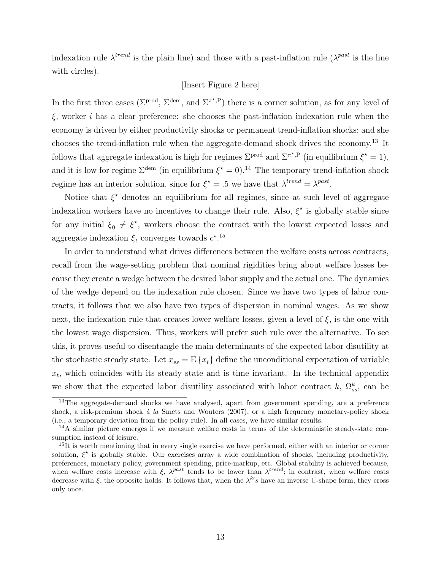indexation rule  $\lambda^{trend}$  is the plain line) and those with a past-inflation rule  $(\lambda^{past}$  is the line with circles).

#### [Insert Figure 2 here]

In the first three cases ( $\Sigma^{\text{prod}}$ ,  $\Sigma^{\text{dem}}$ , and  $\Sigma^{\pi^{\star},P}$ ) there is a corner solution, as for any level of  $\xi$ , worker *i* has a clear preference: she chooses the past-inflation indexation rule when the economy is driven by either productivity shocks or permanent trend-inflation shocks; and she chooses the trend-inflation rule when the aggregate-demand shock drives the economy.<sup>13</sup> It follows that aggregate indexation is high for regimes  $\Sigma^{\text{prod}}$  and  $\Sigma^{\pi^*,P}$  (in equilibrium  $\xi^* = 1$ ), and it is low for regime  $\Sigma^{\text{dem}}$  (in equilibrium  $\xi^* = 0$ ).<sup>14</sup> The temporary trend-inflation shock regime has an interior solution, since for  $\xi^* = 0.5$  we have that  $\lambda^{trend} = \lambda^{past}$ .

Notice that  $\xi^*$  denotes an equilibrium for all regimes, since at such level of aggregate indexation workers have no incentives to change their rule. Also,  $\xi^*$  is globally stable since for any initial  $\xi_0 \neq \xi^*$ , workers choose the contract with the lowest expected losses and aggregate indexation  $\xi_t$  converges towards  $c^{\star}$ .<sup>15</sup>

In order to understand what drives differences between the welfare costs across contracts, recall from the wage-setting problem that nominal rigidities bring about welfare losses because they create a wedge between the desired labor supply and the actual one. The dynamics of the wedge depend on the indexation rule chosen. Since we have two types of labor contracts, it follows that we also have two types of dispersion in nominal wages. As we show next, the indexation rule that creates lower welfare losses, given a level of  $\xi$ , is the one with the lowest wage dispersion. Thus, workers will prefer such rule over the alternative. To see this, it proves useful to disentangle the main determinants of the expected labor disutility at the stochastic steady state. Let  $x_{ss} = E\{x_t\}$  define the unconditional expectation of variable  $x_t$ , which coincides with its steady state and is time invariant. In the technical appendix we show that the expected labor disutility associated with labor contract k,  $\Omega_{ss}^k$ , can be

<sup>&</sup>lt;sup>13</sup>The aggregate-demand shocks we have analysed, apart from government spending, are a preference shock, a risk-premium shock  $\dot{a}$  la Smets and Wouters (2007), or a high frequency monetary-policy shock (i.e., a temporary deviation from the policy rule). In all cases, we have similar results.

<sup>&</sup>lt;sup>14</sup>A similar picture emerges if we measure welfare costs in terms of the deterministic steady-state consumption instead of leisure.

<sup>&</sup>lt;sup>15</sup>It is worth mentioning that in every single exercise we have performed, either with an interior or corner solution,  $\xi^*$  is globally stable. Our exercises array a wide combination of shocks, including productivity, preferences, monetary policy, government spending, price-markup, etc. Global stability is achieved because, when welfare costs increase with  $\xi$ ,  $\lambda^{past}$  tends to be lower than  $\lambda^{trend}$ ; in contrast, when welfare costs decrease with  $\xi$ , the opposite holds. It follows that, when the  $\lambda^{k'}s$  have an inverse U-shape form, they cross only once.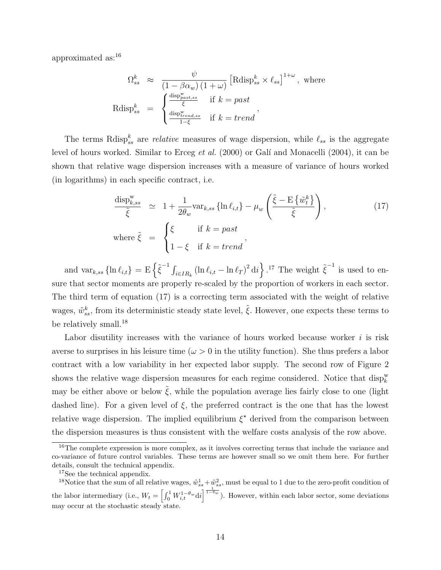approximated as:<sup>16</sup>

$$
\Omega_{ss}^{k} \approx \frac{\psi}{(1 - \beta \alpha_w) (1 + \omega)} \left[ \text{Rdisp}_{ss}^{k} \times \ell_{ss} \right]^{1 + \omega}, \text{ where}
$$
  
 
$$
\text{Rdisp}_{ss}^{k} = \begin{cases} \frac{\text{disp}_{p_{ast,ss}^{w}}}{\xi} & \text{if } k = past \\ \frac{\text{disp}_{trend,ss}^{w}}{1 - \xi} & \text{if } k = trend \end{cases},
$$

The terms Rdisp<sup>k</sup><sub>ss</sub> are *relative* measures of wage dispersion, while  $\ell_{ss}$  is the aggregate level of hours worked. Similar to Erceg *et al.* (2000) or Galí and Monacelli (2004), it can be shown that relative wage dispersion increases with a measure of variance of hours worked (in logarithms) in each specific contract, i.e.

$$
\frac{\text{disp}_{k,ss}^{\text{w}}}{\tilde{\xi}} \simeq 1 + \frac{1}{2\theta_w} \text{var}_{k,ss} \left\{ \ln \ell_{i,t} \right\} - \mu_w \left( \frac{\tilde{\xi} - \text{E} \left\{ \tilde{w}_t^k \right\}}{\tilde{\xi}} \right), \qquad (17)
$$
\n
$$
\text{where } \tilde{\xi} = \begin{cases} \xi & \text{if } k = past \\ 1 - \xi & \text{if } k = trend \end{cases}
$$

and  $var_{k,ss}$  { $\ln \ell_{i,t}$ } = E  $\left\{ \tilde{\xi}^{-1} \int_{i \in IR_k} (\ln \ell_{i,t} - \ln \ell_T)^2 dt \right\}$ .<sup>17</sup> The weight  $\tilde{\xi}^{-1}$  is used to ensure that sector moments are properly re-scaled by the proportion of workers in each sector. The third term of equation (17) is a correcting term associated with the weight of relative wages,  $\tilde{w}_{ss}^k$ , from its deterministic steady state level,  $\tilde{\xi}$ . However, one expects these terms to be relatively small.<sup>18</sup>

Labor disutility increases with the variance of hours worked because worker  $i$  is risk averse to surprises in his leisure time ( $\omega > 0$  in the utility function). She thus prefers a labor contract with a low variability in her expected labor supply. The second row of Figure 2 shows the relative wage dispersion measures for each regime considered. Notice that  $\text{disp}_{k}^{\text{w}}$ may be either above or below  $\hat{\xi}$ , while the population average lies fairly close to one (light dashed line). For a given level of  $\xi$ , the preferred contract is the one that has the lowest relative wage dispersion. The implied equilibrium  $\xi^*$  derived from the comparison between the dispersion measures is thus consistent with the welfare costs analysis of the row above.

<sup>&</sup>lt;sup>16</sup>The complete expression is more complex, as it involves correcting terms that include the variance and co-variance of future control variables. These terms are however small so we omit them here. For further details, consult the technical appendix.

<sup>&</sup>lt;sup>17</sup>See the technical appendix.

<sup>&</sup>lt;sup>18</sup>Notice that the sum of all relative wages,  $\tilde{w}_{ss}^1 + \tilde{w}_{ss}^2$ , must be equal to 1 due to the zero-profit condition of the labor intermediary (i.e.,  $W_t = \left[\int_0^1 W_{i,t}^{1-\theta_w} \mathrm{d}i\right]^{\frac{1}{1-\theta_w}}$ ). However, within each labor sector, some deviations may occur at the stochastic steady state.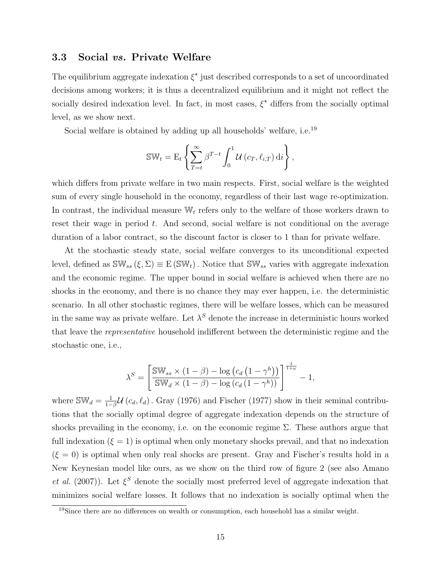## 3.3 Social vs. Private Welfare

The equilibrium aggregate indexation  $\xi^*$  just described corresponds to a set of uncoordinated decisions among workers; it is thus a decentralized equilibrium and it might not reflect the socially desired indexation level. In fact, in most cases,  $\xi^*$  differs from the socially optimal level, as we show next.

Social welfare is obtained by adding up all households' welfare, i.e.<sup>19</sup>

$$
\mathbb{SW}_t = \mathrm{E}_t \left\{ \sum_{T=t}^{\infty} \beta^{T-t} \int_0^1 \mathcal{U}(c_T, \ell_{i,T}) \, \mathrm{d}i \right\},\,
$$

which differs from private welfare in two main respects. First, social welfare is the weighted sum of every single household in the economy, regardless of their last wage re-optimization. In contrast, the individual measure  $\mathbb{W}_t$  refers only to the welfare of those workers drawn to reset their wage in period  $t$ . And second, social welfare is not conditional on the average duration of a labor contract, so the discount factor is closer to 1 than for private welfare.

At the stochastic steady state, social welfare converges to its unconditional expected level, defined as  $\mathbb{SW}_{ss}(\xi, \Sigma) \equiv E(\mathbb{SW}_{t})$ . Notice that  $\mathbb{SW}_{ss}$  varies with aggregate indexation and the economic regime. The upper bound in social welfare is achieved when there are no shocks in the economy, and there is no chance they may ever happen, i.e. the deterministic scenario. In all other stochastic regimes, there will be welfare losses, which can be measured in the same way as private welfare. Let  $\lambda^S$  denote the increase in deterministic hours worked that leave the representative household indifferent between the deterministic regime and the stochastic one, i.e.,

$$
\lambda^{S} = \left[ \frac{\mathbb{SW}_{ss} \times (1 - \beta) - \log (c_d (1 - \gamma^h))}{\mathbb{SW}_{d} \times (1 - \beta) - \log (c_d (1 - \gamma^h))} \right]^{\frac{1}{1 + \omega}} - 1,
$$

where  $\mathbb{SW}_d = \frac{1}{1-\epsilon}$  $\frac{1}{1-\beta}$ U ( $c_d, \ell_d$ ). Gray (1976) and Fischer (1977) show in their seminal contributions that the socially optimal degree of aggregate indexation depends on the structure of shocks prevailing in the economy, i.e. on the economic regime  $\Sigma$ . These authors argue that full indexation  $(\xi = 1)$  is optimal when only monetary shocks prevail, and that no indexation  $(\xi = 0)$  is optimal when only real shocks are present. Gray and Fischer's results hold in a New Keynesian model like ours, as we show on the third row of figure 2 (see also Amano *et al.* (2007)). Let  $\xi^S$  denote the socially most preferred level of aggregate indexation that minimizes social welfare losses. It follows that no indexation is socially optimal when the

<sup>19</sup>Since there are no differences on wealth or consumption, each household has a similar weight.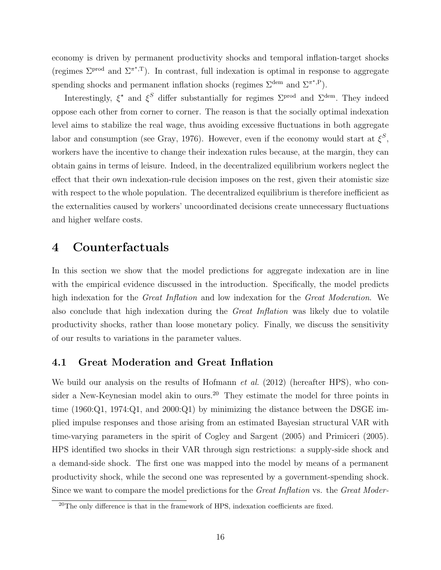economy is driven by permanent productivity shocks and temporal inflation-target shocks (regimes  $\Sigma^{\text{prod}}$  and  $\Sigma^{\pi^*,T}$ ). In contrast, full indexation is optimal in response to aggregate spending shocks and permanent inflation shocks (regimes  $\Sigma^{\text{dem}}$  and  $\Sigma^{\pi^{\star},P}$ ).

Interestingly,  $\xi^*$  and  $\xi^S$  differ substantially for regimes  $\Sigma^{\text{prod}}$  and  $\Sigma^{\text{dem}}$ . They indeed oppose each other from corner to corner. The reason is that the socially optimal indexation level aims to stabilize the real wage, thus avoiding excessive fluctuations in both aggregate labor and consumption (see Gray, 1976). However, even if the economy would start at  $\xi^S$ , workers have the incentive to change their indexation rules because, at the margin, they can obtain gains in terms of leisure. Indeed, in the decentralized equilibrium workers neglect the effect that their own indexation-rule decision imposes on the rest, given their atomistic size with respect to the whole population. The decentralized equilibrium is therefore inefficient as the externalities caused by workers' uncoordinated decisions create unnecessary fluctuations and higher welfare costs.

## 4 Counterfactuals

In this section we show that the model predictions for aggregate indexation are in line with the empirical evidence discussed in the introduction. Specifically, the model predicts high indexation for the *Great Inflation* and low indexation for the *Great Moderation*. We also conclude that high indexation during the Great Inflation was likely due to volatile productivity shocks, rather than loose monetary policy. Finally, we discuss the sensitivity of our results to variations in the parameter values.

## 4.1 Great Moderation and Great Inflation

We build our analysis on the results of Hofmann *et al.* (2012) (hereafter HPS), who consider a New-Keynesian model akin to ours.<sup>20</sup> They estimate the model for three points in time (1960:Q1, 1974:Q1, and 2000:Q1) by minimizing the distance between the DSGE implied impulse responses and those arising from an estimated Bayesian structural VAR with time-varying parameters in the spirit of Cogley and Sargent (2005) and Primiceri (2005). HPS identified two shocks in their VAR through sign restrictions: a supply-side shock and a demand-side shock. The first one was mapped into the model by means of a permanent productivity shock, while the second one was represented by a government-spending shock. Since we want to compare the model predictions for the *Great Inflation* vs. the *Great Moder*-

<sup>&</sup>lt;sup>20</sup>The only difference is that in the framework of HPS, indexation coefficients are fixed.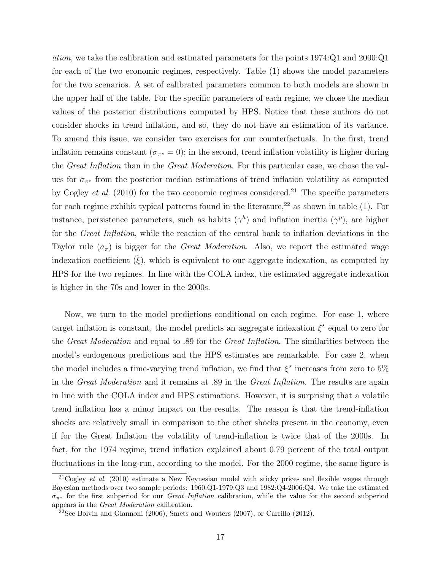ation, we take the calibration and estimated parameters for the points 1974:Q1 and 2000:Q1 for each of the two economic regimes, respectively. Table (1) shows the model parameters for the two scenarios. A set of calibrated parameters common to both models are shown in the upper half of the table. For the specific parameters of each regime, we chose the median values of the posterior distributions computed by HPS. Notice that these authors do not consider shocks in trend inflation, and so, they do not have an estimation of its variance. To amend this issue, we consider two exercises for our counterfactuals. In the first, trend inflation remains constant  $(\sigma_{\pi^*} = 0)$ ; in the second, trend inflation volatility is higher during the Great Inflation than in the Great Moderation. For this particular case, we chose the values for  $\sigma_{\pi^*}$  from the posterior median estimations of trend inflation volatility as computed by Cogley *et al.* (2010) for the two economic regimes considered.<sup>21</sup> The specific parameters for each regime exhibit typical patterns found in the literature,  $22$  as shown in table (1). For instance, persistence parameters, such as habits  $(\gamma^h)$  and inflation inertia  $(\gamma^p)$ , are higher for the *Great Inflation*, while the reaction of the central bank to inflation deviations in the Taylor rule  $(a_{\pi})$  is bigger for the *Great Moderation*. Also, we report the estimated wage indexation coefficient  $(\hat{\xi})$ , which is equivalent to our aggregate indexation, as computed by HPS for the two regimes. In line with the COLA index, the estimated aggregate indexation is higher in the 70s and lower in the 2000s.

Now, we turn to the model predictions conditional on each regime. For case 1, where target inflation is constant, the model predicts an aggregate indexation  $\xi^*$  equal to zero for the Great Moderation and equal to .89 for the Great Inflation. The similarities between the model's endogenous predictions and the HPS estimates are remarkable. For case 2, when the model includes a time-varying trend inflation, we find that  $\xi^*$  increases from zero to 5% in the Great Moderation and it remains at .89 in the Great Inflation. The results are again in line with the COLA index and HPS estimations. However, it is surprising that a volatile trend inflation has a minor impact on the results. The reason is that the trend-inflation shocks are relatively small in comparison to the other shocks present in the economy, even if for the Great Inflation the volatility of trend-inflation is twice that of the 2000s. In fact, for the 1974 regime, trend inflation explained about 0.79 percent of the total output fluctuations in the long-run, according to the model. For the 2000 regime, the same figure is

 $21 \text{Cogley } et \text{ al.}$  (2010) estimate a New Keynesian model with sticky prices and flexible wages through Bayesian methods over two sample periods: 1960:Q1-1979:Q3 and 1982:Q4-2006:Q4. We take the estimated  $\sigma_{\pi^*}$  for the first subperiod for our *Great Inflation* calibration, while the value for the second subperiod appears in the Great Moderation calibration.

<sup>&</sup>lt;sup>22</sup>See Boivin and Giannoni (2006), Smets and Wouters (2007), or Carrillo (2012).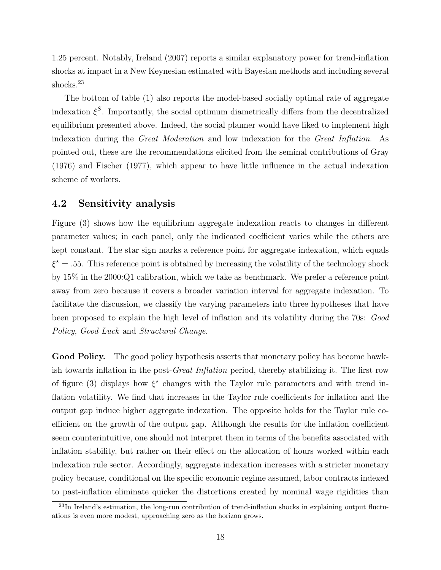1.25 percent. Notably, Ireland (2007) reports a similar explanatory power for trend-inflation shocks at impact in a New Keynesian estimated with Bayesian methods and including several shocks.<sup>23</sup>

The bottom of table (1) also reports the model-based socially optimal rate of aggregate indexation  $\xi^S$ . Importantly, the social optimum diametrically differs from the decentralized equilibrium presented above. Indeed, the social planner would have liked to implement high indexation during the Great Moderation and low indexation for the Great Inflation. As pointed out, these are the recommendations elicited from the seminal contributions of Gray (1976) and Fischer (1977), which appear to have little influence in the actual indexation scheme of workers.

## 4.2 Sensitivity analysis

Figure (3) shows how the equilibrium aggregate indexation reacts to changes in different parameter values; in each panel, only the indicated coefficient varies while the others are kept constant. The star sign marks a reference point for aggregate indexation, which equals  $\xi^* = .55$ . This reference point is obtained by increasing the volatility of the technology shock by 15% in the 2000:Q1 calibration, which we take as benchmark. We prefer a reference point away from zero because it covers a broader variation interval for aggregate indexation. To facilitate the discussion, we classify the varying parameters into three hypotheses that have been proposed to explain the high level of inflation and its volatility during the 70s: Good Policy, Good Luck and Structural Change.

Good Policy. The good policy hypothesis asserts that monetary policy has become hawkish towards inflation in the post-Great Inflation period, thereby stabilizing it. The first row of figure (3) displays how  $\xi^*$  changes with the Taylor rule parameters and with trend inflation volatility. We find that increases in the Taylor rule coefficients for inflation and the output gap induce higher aggregate indexation. The opposite holds for the Taylor rule coefficient on the growth of the output gap. Although the results for the inflation coefficient seem counterintuitive, one should not interpret them in terms of the benefits associated with inflation stability, but rather on their effect on the allocation of hours worked within each indexation rule sector. Accordingly, aggregate indexation increases with a stricter monetary policy because, conditional on the specific economic regime assumed, labor contracts indexed to past-inflation eliminate quicker the distortions created by nominal wage rigidities than

 $^{23}$ In Ireland's estimation, the long-run contribution of trend-inflation shocks in explaining output fluctuations is even more modest, approaching zero as the horizon grows.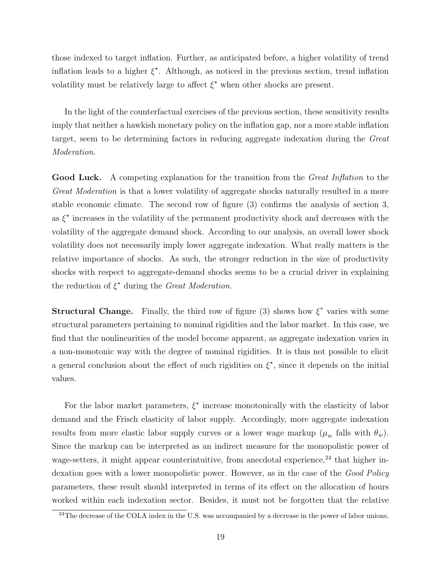those indexed to target inflation. Further, as anticipated before, a higher volatility of trend inflation leads to a higher  $\xi^*$ . Although, as noticed in the previous section, trend inflation volatility must be relatively large to affect  $\xi^*$  when other shocks are present.

In the light of the counterfactual exercises of the previous section, these sensitivity results imply that neither a hawkish monetary policy on the inflation gap, nor a more stable inflation target, seem to be determining factors in reducing aggregate indexation during the Great Moderation.

Good Luck. A competing explanation for the transition from the *Great Inflation* to the Great Moderation is that a lower volatility of aggregate shocks naturally resulted in a more stable economic climate. The second row of figure (3) confirms the analysis of section 3, as  $\xi^*$  increases in the volatility of the permanent productivity shock and decreases with the volatility of the aggregate demand shock. According to our analysis, an overall lower shock volatility does not necessarily imply lower aggregate indexation. What really matters is the relative importance of shocks. As such, the stronger reduction in the size of productivity shocks with respect to aggregate-demand shocks seems to be a crucial driver in explaining the reduction of  $\xi^*$  during the Great Moderation.

**Structural Change.** Finally, the third row of figure (3) shows how  $\xi^*$  varies with some structural parameters pertaining to nominal rigidities and the labor market. In this case, we find that the nonlinearities of the model become apparent, as aggregate indexation varies in a non-monotonic way with the degree of nominal rigidities. It is thus not possible to elicit a general conclusion about the effect of such rigidities on  $\xi^*$ , since it depends on the initial values.

For the labor market parameters,  $\xi^*$  increase monotonically with the elasticity of labor demand and the Frisch elasticity of labor supply. Accordingly, more aggregate indexation results from more elastic labor supply curves or a lower wage markup  $(\mu_w$  falls with  $\theta_w$ ). Since the markup can be interpreted as an indirect measure for the monopolistic power of wage-setters, it might appear counterintuitive, from anecdotal experience,  $24$  that higher indexation goes with a lower monopolistic power. However, as in the case of the Good Policy parameters, these result should interpreted in terms of its effect on the allocation of hours worked within each indexation sector. Besides, it must not be forgotten that the relative

 $^{24}$ The decrease of the COLA index in the U.S. was accompanied by a decrease in the power of labor unions.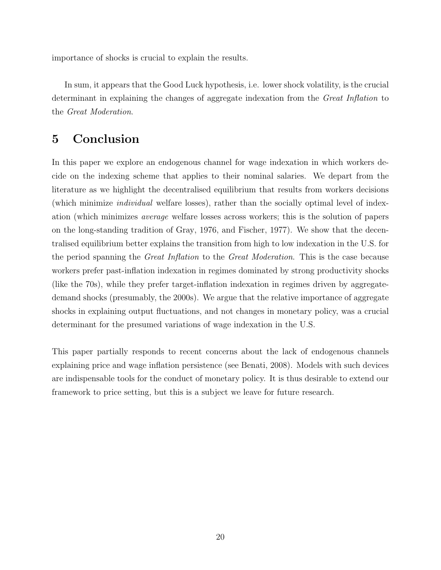importance of shocks is crucial to explain the results.

In sum, it appears that the Good Luck hypothesis, i.e. lower shock volatility, is the crucial determinant in explaining the changes of aggregate indexation from the Great Inflation to the Great Moderation.

# 5 Conclusion

In this paper we explore an endogenous channel for wage indexation in which workers decide on the indexing scheme that applies to their nominal salaries. We depart from the literature as we highlight the decentralised equilibrium that results from workers decisions (which minimize individual welfare losses), rather than the socially optimal level of indexation (which minimizes average welfare losses across workers; this is the solution of papers on the long-standing tradition of Gray, 1976, and Fischer, 1977). We show that the decentralised equilibrium better explains the transition from high to low indexation in the U.S. for the period spanning the Great Inflation to the Great Moderation. This is the case because workers prefer past-inflation indexation in regimes dominated by strong productivity shocks (like the 70s), while they prefer target-inflation indexation in regimes driven by aggregatedemand shocks (presumably, the 2000s). We argue that the relative importance of aggregate shocks in explaining output fluctuations, and not changes in monetary policy, was a crucial determinant for the presumed variations of wage indexation in the U.S.

This paper partially responds to recent concerns about the lack of endogenous channels explaining price and wage inflation persistence (see Benati, 2008). Models with such devices are indispensable tools for the conduct of monetary policy. It is thus desirable to extend our framework to price setting, but this is a subject we leave for future research.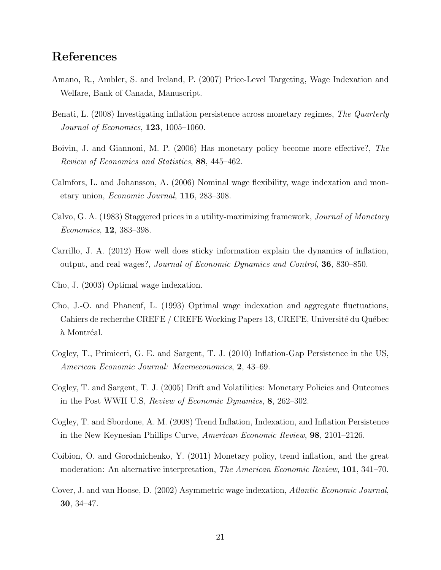# References

- Amano, R., Ambler, S. and Ireland, P. (2007) Price-Level Targeting, Wage Indexation and Welfare, Bank of Canada, Manuscript.
- Benati, L. (2008) Investigating inflation persistence across monetary regimes, The Quarterly Journal of Economics, 123, 1005–1060.
- Boivin, J. and Giannoni, M. P. (2006) Has monetary policy become more effective?, The Review of Economics and Statistics, 88, 445–462.
- Calmfors, L. and Johansson, A. (2006) Nominal wage flexibility, wage indexation and monetary union, Economic Journal, 116, 283–308.
- Calvo, G. A. (1983) Staggered prices in a utility-maximizing framework, Journal of Monetary Economics, 12, 383–398.
- Carrillo, J. A. (2012) How well does sticky information explain the dynamics of inflation, output, and real wages?, Journal of Economic Dynamics and Control, 36, 830–850.
- Cho, J. (2003) Optimal wage indexation.
- Cho, J.-O. and Phaneuf, L. (1993) Optimal wage indexation and aggregate fluctuations, Cahiers de recherche CREFE / CREFE Working Papers 13, CREFE, Université du Québec à Montréal.
- Cogley, T., Primiceri, G. E. and Sargent, T. J. (2010) Inflation-Gap Persistence in the US, American Economic Journal: Macroeconomics, 2, 43–69.
- Cogley, T. and Sargent, T. J. (2005) Drift and Volatilities: Monetary Policies and Outcomes in the Post WWII U.S, Review of Economic Dynamics, 8, 262–302.
- Cogley, T. and Sbordone, A. M. (2008) Trend Inflation, Indexation, and Inflation Persistence in the New Keynesian Phillips Curve, American Economic Review, 98, 2101–2126.
- Coibion, O. and Gorodnichenko, Y. (2011) Monetary policy, trend inflation, and the great moderation: An alternative interpretation, *The American Economic Review*, **101**, 341–70.
- Cover, J. and van Hoose, D. (2002) Asymmetric wage indexation, Atlantic Economic Journal, 30, 34–47.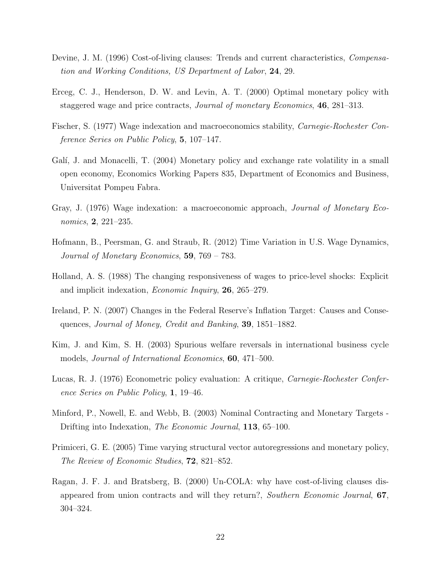- Devine, J. M. (1996) Cost-of-living clauses: Trends and current characteristics, Compensation and Working Conditions, US Department of Labor, 24, 29.
- Erceg, C. J., Henderson, D. W. and Levin, A. T. (2000) Optimal monetary policy with staggered wage and price contracts, Journal of monetary Economics, 46, 281–313.
- Fischer, S. (1977) Wage indexation and macroeconomics stability, Carnegie-Rochester Conference Series on Public Policy, 5, 107–147.
- Galí, J. and Monacelli, T. (2004) Monetary policy and exchange rate volatility in a small open economy, Economics Working Papers 835, Department of Economics and Business, Universitat Pompeu Fabra.
- Gray, J. (1976) Wage indexation: a macroeconomic approach, Journal of Monetary Economics, 2, 221–235.
- Hofmann, B., Peersman, G. and Straub, R. (2012) Time Variation in U.S. Wage Dynamics, Journal of Monetary Economics, 59, 769 – 783.
- Holland, A. S. (1988) The changing responsiveness of wages to price-level shocks: Explicit and implicit indexation, Economic Inquiry, 26, 265–279.
- Ireland, P. N. (2007) Changes in the Federal Reserve's Inflation Target: Causes and Consequences, Journal of Money, Credit and Banking, 39, 1851–1882.
- Kim, J. and Kim, S. H. (2003) Spurious welfare reversals in international business cycle models, *Journal of International Economics*, **60**, 471–500.
- Lucas, R. J. (1976) Econometric policy evaluation: A critique, Carnegie-Rochester Conference Series on Public Policy, 1, 19–46.
- Minford, P., Nowell, E. and Webb, B. (2003) Nominal Contracting and Monetary Targets Drifting into Indexation, *The Economic Journal*, **113**, 65–100.
- Primiceri, G. E. (2005) Time varying structural vector autoregressions and monetary policy, The Review of Economic Studies, 72, 821–852.
- Ragan, J. F. J. and Bratsberg, B. (2000) Un-COLA: why have cost-of-living clauses disappeared from union contracts and will they return?, Southern Economic Journal, 67, 304–324.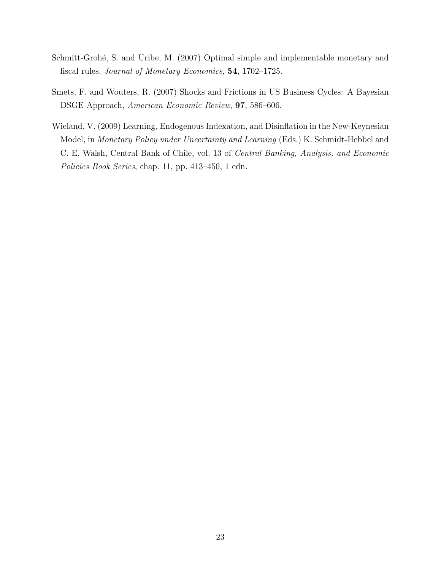- Schmitt-Grohé, S. and Uribe, M. (2007) Optimal simple and implementable monetary and fiscal rules, Journal of Monetary Economics, 54, 1702–1725.
- Smets, F. and Wouters, R. (2007) Shocks and Frictions in US Business Cycles: A Bayesian DSGE Approach, American Economic Review, 97, 586–606.
- Wieland, V. (2009) Learning, Endogenous Indexation, and Disinflation in the New-Keynesian Model, in Monetary Policy under Uncertainty and Learning (Eds.) K. Schmidt-Hebbel and C. E. Walsh, Central Bank of Chile, vol. 13 of Central Banking, Analysis, and Economic Policies Book Series, chap. 11, pp. 413–450, 1 edn.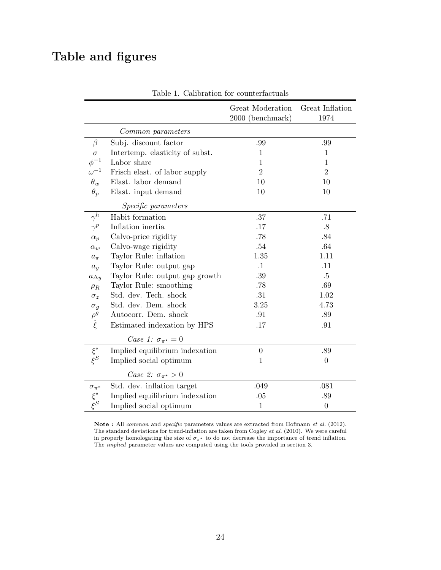# Table and figures

|                                 |                                    | Great Moderation<br>2000 (benchmark) | Great Inflation<br>1974 |
|---------------------------------|------------------------------------|--------------------------------------|-------------------------|
|                                 | Common parameters                  |                                      |                         |
| $\beta$                         | Subj. discount factor              | .99                                  | .99                     |
| $\sigma$                        | Intertemp. elasticity of subst.    | $\mathbf{1}$                         | $\mathbf{1}$            |
| $\phi^{-1}$                     | Labor share                        | 1                                    | 1                       |
| $\omega^{-1}$                   | Frisch elast. of labor supply      | $\overline{2}$                       | $\overline{2}$          |
| $\theta_w$                      | Elast. labor demand                | 10                                   | 10                      |
| $\theta_p$                      | Elast. input demand                | 10                                   | 10                      |
|                                 | Specific parameters                |                                      |                         |
| $\gamma^h$                      | Habit formation                    | .37                                  | .71                     |
| $\gamma^p$                      | Inflation inertia                  | .17                                  | $.8\,$                  |
| $\alpha_p$                      | Calvo-price rigidity               | .78                                  | .84                     |
| $\alpha_w$                      | Calvo-wage rigidity                | $.54\,$                              | .64                     |
| $a_{\pi}$                       | Taylor Rule: inflation             | 1.35                                 | 1.11                    |
| $a_y$                           | Taylor Rule: output gap            | $\cdot$ 1                            | .11                     |
| $a_{\Delta y}$                  | Taylor Rule: output gap growth     | .39                                  | $.5\,$                  |
| $\rho_R$                        | Taylor Rule: smoothing             | .78                                  | .69                     |
| $\sigma_z$                      | Std. dev. Tech. shock              | .31                                  | 1.02                    |
|                                 | Std. dev. Dem. shock               | 3.25                                 | 4.73                    |
|                                 | Autocorr. Dem. shock               | .91                                  | .89                     |
| $\sigma_g$ $\rho_g$ $\hat{\xi}$ | Estimated indexation by HPS        | .17                                  | .91                     |
|                                 | Case 1: $\sigma_{\pi^*} = 0$       |                                      |                         |
| $\xi^\star$                     | Implied equilibrium indexation     | $\boldsymbol{0}$                     | .89                     |
| $\xi^S$                         | Implied social optimum             | $\mathbf{1}$                         | $\theta$                |
|                                 | Case 2: $\sigma_{\pi^{\star}} > 0$ |                                      |                         |
| $\sigma_{\pi^*}$                | Std. dev. inflation target         | .049                                 | .081                    |
| $\xi^{\star}$                   | Implied equilibrium indexation     | .05                                  | .89                     |
|                                 | Implied social optimum             | $\mathbf{1}$                         | $\boldsymbol{0}$        |

Table 1. Calibration for counterfactuals

Note : All *common* and *specific* parameters values are extracted from Hofmann *et al.* (2012). The standard deviations for trend-inflation are taken from Cogley et al. (2010). We were careful in properly homologating the size of  $\sigma_{\pi^*}$  to do not decrease the importance of trend inflation. The implied parameter values are computed using the tools provided in section 3.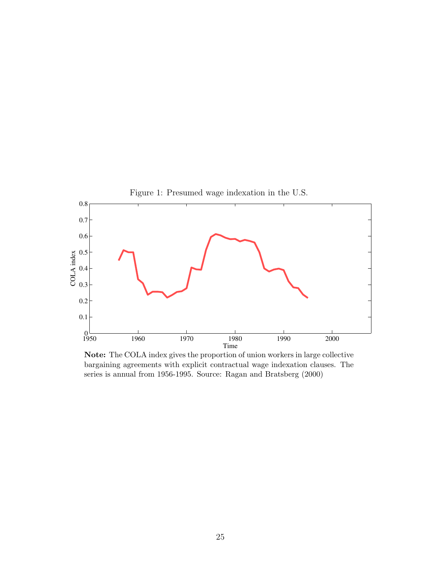

Note: The COLA index gives the proportion of union workers in large collective bargaining agreements with explicit contractual wage indexation clauses. The series is annual from 1956-1995. Source: Ragan and Bratsberg (2000)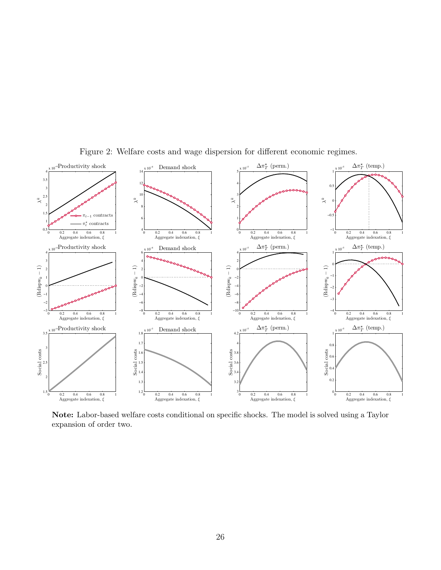

Figure 2: Welfare costs and wage dispersion for different economic regimes.

Note: Labor-based welfare costs conditional on specific shocks. The model is solved using a Taylor expansion of order two.